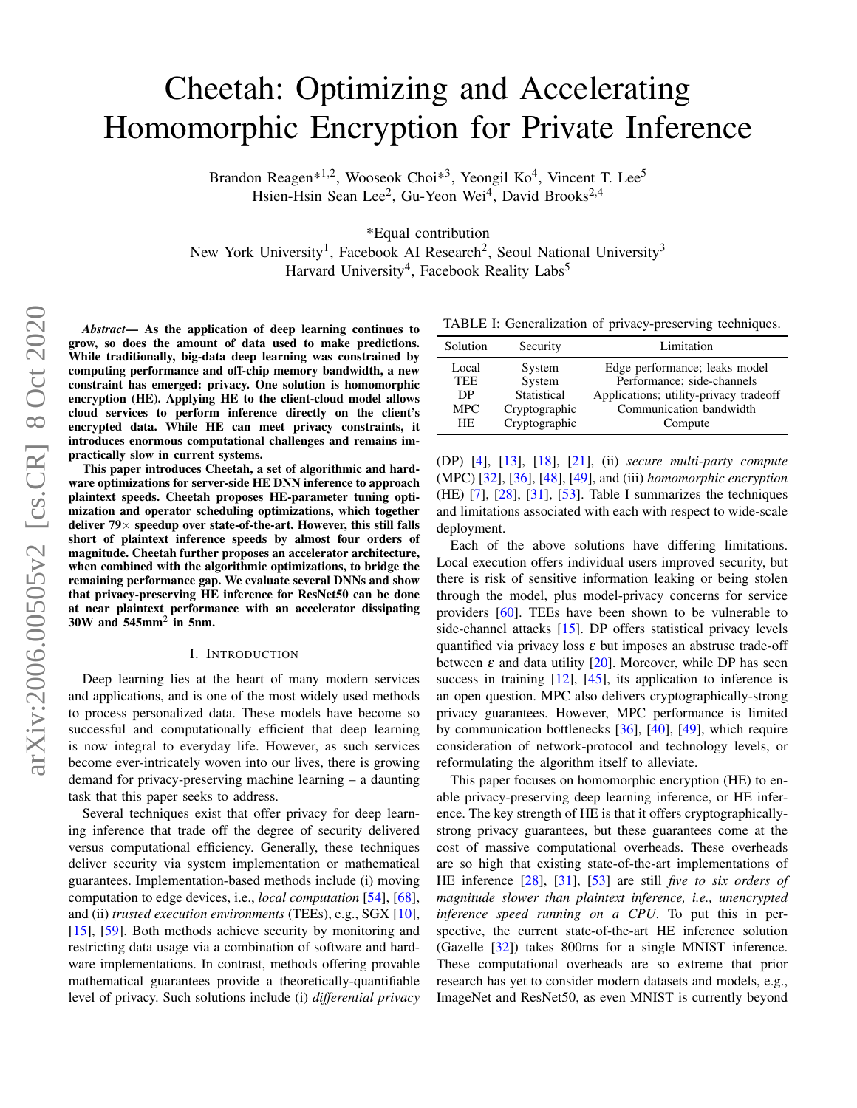# Cheetah: Optimizing and Accelerating Homomorphic Encryption for Private Inference

Brandon Reagen\*<sup>1,2</sup>, Wooseok Choi\*<sup>3</sup>, Yeongil Ko<sup>4</sup>, Vincent T. Lee<sup>5</sup> Hsien-Hsin Sean Lee<sup>2</sup>, Gu-Yeon Wei<sup>4</sup>, David Brooks<sup>2,4</sup>

\*Equal contribution

New York University<sup>1</sup>, Facebook AI Research<sup>2</sup>, Seoul National University<sup>3</sup> Harvard University<sup>4</sup>, Facebook Reality Labs<sup>5</sup>

*Abstract*— As the application of deep learning continues to grow, so does the amount of data used to make predictions. While traditionally, big-data deep learning was constrained by computing performance and off-chip memory bandwidth, a new constraint has emerged: privacy. One solution is homomorphic encryption (HE). Applying HE to the client-cloud model allows cloud services to perform inference directly on the client's encrypted data. While HE can meet privacy constraints, it introduces enormous computational challenges and remains impractically slow in current systems.

This paper introduces Cheetah, a set of algorithmic and hardware optimizations for server-side HE DNN inference to approach plaintext speeds. Cheetah proposes HE-parameter tuning optimization and operator scheduling optimizations, which together deliver  $79\times$  speedup over state-of-the-art. However, this still falls short of plaintext inference speeds by almost four orders of magnitude. Cheetah further proposes an accelerator architecture, when combined with the algorithmic optimizations, to bridge the remaining performance gap. We evaluate several DNNs and show that privacy-preserving HE inference for ResNet50 can be done at near plaintext performance with an accelerator dissipating  $30W$  and  $545mm^2$  in 5nm.

## I. INTRODUCTION

Deep learning lies at the heart of many modern services and applications, and is one of the most widely used methods to process personalized data. These models have become so successful and computationally efficient that deep learning is now integral to everyday life. However, as such services become ever-intricately woven into our lives, there is growing demand for privacy-preserving machine learning – a daunting task that this paper seeks to address.

Several techniques exist that offer privacy for deep learning inference that trade off the degree of security delivered versus computational efficiency. Generally, these techniques deliver security via system implementation or mathematical guarantees. Implementation-based methods include (i) moving computation to edge devices, i.e., *local computation* [\[54\]](#page-12-0), [\[68\]](#page-12-1), and (ii) *trusted execution environments* (TEEs), e.g., SGX [\[10\]](#page-11-0), [\[15\]](#page-11-1), [\[59\]](#page-12-2). Both methods achieve security by monitoring and restricting data usage via a combination of software and hardware implementations. In contrast, methods offering provable mathematical guarantees provide a theoretically-quantifiable level of privacy. Such solutions include (i) *differential privacy*

<span id="page-0-0"></span>TABLE I: Generalization of privacy-preserving techniques.

| Solution   | Security      | Limitation                             |  |  |
|------------|---------------|----------------------------------------|--|--|
| Local      | System        | Edge performance; leaks model          |  |  |
| <b>TEE</b> | System        | Performance; side-channels             |  |  |
| DP         | Statistical   | Applications; utility-privacy tradeoff |  |  |
| <b>MPC</b> | Cryptographic | Communication bandwidth                |  |  |
| HE.        | Cryptographic | Compute                                |  |  |

(DP) [\[4\]](#page-11-2), [\[13\]](#page-11-3), [\[18\]](#page-11-4), [\[21\]](#page-11-5), (ii) *secure multi-party compute* (MPC) [\[32\]](#page-11-6), [\[36\]](#page-11-7), [\[48\]](#page-12-3), [\[49\]](#page-12-4), and (iii) *homomorphic encryption* (HE) [\[7\]](#page-11-8), [\[28\]](#page-11-9), [\[31\]](#page-11-10), [\[53\]](#page-12-5). Table [I](#page-0-0) summarizes the techniques and limitations associated with each with respect to wide-scale deployment.

Each of the above solutions have differing limitations. Local execution offers individual users improved security, but there is risk of sensitive information leaking or being stolen through the model, plus model-privacy concerns for service providers [\[60\]](#page-12-6). TEEs have been shown to be vulnerable to side-channel attacks [\[15\]](#page-11-1). DP offers statistical privacy levels quantified via privacy loss  $\varepsilon$  but imposes an abstruse trade-off between  $\varepsilon$  and data utility [\[20\]](#page-11-11). Moreover, while DP has seen success in training  $[12]$ ,  $[45]$ , its application to inference is an open question. MPC also delivers cryptographically-strong privacy guarantees. However, MPC performance is limited by communication bottlenecks [\[36\]](#page-11-7), [\[40\]](#page-11-13), [\[49\]](#page-12-4), which require consideration of network-protocol and technology levels, or reformulating the algorithm itself to alleviate.

This paper focuses on homomorphic encryption (HE) to enable privacy-preserving deep learning inference, or HE inference. The key strength of HE is that it offers cryptographicallystrong privacy guarantees, but these guarantees come at the cost of massive computational overheads. These overheads are so high that existing state-of-the-art implementations of HE inference [\[28\]](#page-11-9), [\[31\]](#page-11-10), [\[53\]](#page-12-5) are still *five to six orders of magnitude slower than plaintext inference, i.e., unencrypted inference speed running on a CPU*. To put this in perspective, the current state-of-the-art HE inference solution (Gazelle [\[32\]](#page-11-6)) takes 800ms for a single MNIST inference. These computational overheads are so extreme that prior research has yet to consider modern datasets and models, e.g., ImageNet and ResNet50, as even MNIST is currently beyond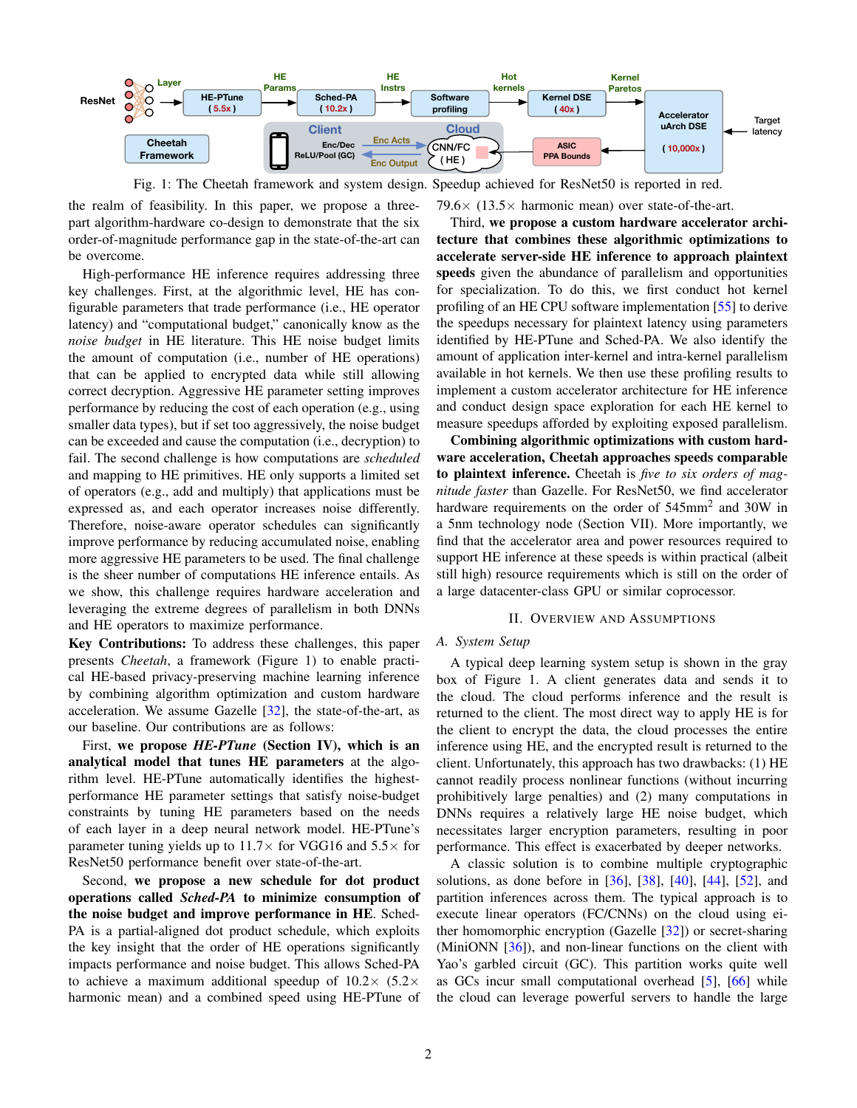<span id="page-1-0"></span>

Fig. 1: The Cheetah framework and system design. Speedup achieved for ResNet50 is reported in red.

the realm of feasibility. In this paper, we propose a threepart algorithm-hardware co-design to demonstrate that the six order-of-magnitude performance gap in the state-of-the-art can be overcome.

High-performance HE inference requires addressing three key challenges. First, at the algorithmic level, HE has configurable parameters that trade performance (i.e., HE operator latency) and "computational budget," canonically know as the *noise budget* in HE literature. This HE noise budget limits the amount of computation (i.e., number of HE operations) that can be applied to encrypted data while still allowing correct decryption. Aggressive HE parameter setting improves performance by reducing the cost of each operation (e.g., using smaller data types), but if set too aggressively, the noise budget can be exceeded and cause the computation (i.e., decryption) to fail. The second challenge is how computations are *scheduled* and mapping to HE primitives. HE only supports a limited set of operators (e.g., add and multiply) that applications must be expressed as, and each operator increases noise differently. Therefore, noise-aware operator schedules can significantly improve performance by reducing accumulated noise, enabling more aggressive HE parameters to be used. The final challenge is the sheer number of computations HE inference entails. As we show, this challenge requires hardware acceleration and leveraging the extreme degrees of parallelism in both DNNs and HE operators to maximize performance.

Key Contributions: To address these challenges, this paper presents *Cheetah*, a framework (Figure [1\)](#page-1-0) to enable practical HE-based privacy-preserving machine learning inference by combining algorithm optimization and custom hardware acceleration. We assume Gazelle [\[32\]](#page-11-6), the state-of-the-art, as our baseline. Our contributions are as follows:

First, we propose *HE-PTune* (Section [IV\)](#page-4-0), which is an analytical model that tunes HE parameters at the algorithm level. HE-PTune automatically identifies the highestperformance HE parameter settings that satisfy noise-budget constraints by tuning HE parameters based on the needs of each layer in a deep neural network model. HE-PTune's parameter tuning yields up to  $11.7\times$  for VGG16 and  $5.5\times$  for ResNet50 performance benefit over state-of-the-art.

Second, we propose a new schedule for dot product operations called *Sched-PA* to minimize consumption of the noise budget and improve performance in HE. Sched-PA is a partial-aligned dot product schedule, which exploits the key insight that the order of HE operations significantly impacts performance and noise budget. This allows Sched-PA to achieve a maximum additional speedup of  $10.2 \times 5.2 \times$ harmonic mean) and a combined speed using HE-PTune of 79.6 $\times$  (13.5 $\times$  harmonic mean) over state-of-the-art.

Third, we propose a custom hardware accelerator architecture that combines these algorithmic optimizations to accelerate server-side HE inference to approach plaintext speeds given the abundance of parallelism and opportunities for specialization. To do this, we first conduct hot kernel profiling of an HE CPU software implementation [\[55\]](#page-12-8) to derive the speedups necessary for plaintext latency using parameters identified by HE-PTune and Sched-PA. We also identify the amount of application inter-kernel and intra-kernel parallelism available in hot kernels. We then use these profiling results to implement a custom accelerator architecture for HE inference and conduct design space exploration for each HE kernel to measure speedups afforded by exploiting exposed parallelism.

Combining algorithmic optimizations with custom hardware acceleration, Cheetah approaches speeds comparable to plaintext inference. Cheetah is *five to six orders of magnitude faster* than Gazelle. For ResNet50, we find accelerator hardware requirements on the order of 545mm<sup>2</sup> and 30W in a 5nm technology node (Section [VII\)](#page-7-0). More importantly, we find that the accelerator area and power resources required to support HE inference at these speeds is within practical (albeit still high) resource requirements which is still on the order of a large datacenter-class GPU or similar coprocessor.

#### II. OVERVIEW AND ASSUMPTIONS

#### *A. System Setup*

A typical deep learning system setup is shown in the gray box of Figure [1.](#page-1-0) A client generates data and sends it to the cloud. The cloud performs inference and the result is returned to the client. The most direct way to apply HE is for the client to encrypt the data, the cloud processes the entire inference using HE, and the encrypted result is returned to the client. Unfortunately, this approach has two drawbacks: (1) HE cannot readily process nonlinear functions (without incurring prohibitively large penalties) and (2) many computations in DNNs requires a relatively large HE noise budget, which necessitates larger encryption parameters, resulting in poor performance. This effect is exacerbated by deeper networks.

A classic solution is to combine multiple cryptographic solutions, as done before in [\[36\]](#page-11-7), [\[38\]](#page-11-14), [\[40\]](#page-11-13), [\[44\]](#page-12-9), [\[52\]](#page-12-10), and partition inferences across them. The typical approach is to execute linear operators (FC/CNNs) on the cloud using either homomorphic encryption (Gazelle [\[32\]](#page-11-6)) or secret-sharing (MiniONN  $[36]$ ), and non-linear functions on the client with Yao's garbled circuit (GC). This partition works quite well as GCs incur small computational overhead [\[5\]](#page-11-15), [\[66\]](#page-12-11) while the cloud can leverage powerful servers to handle the large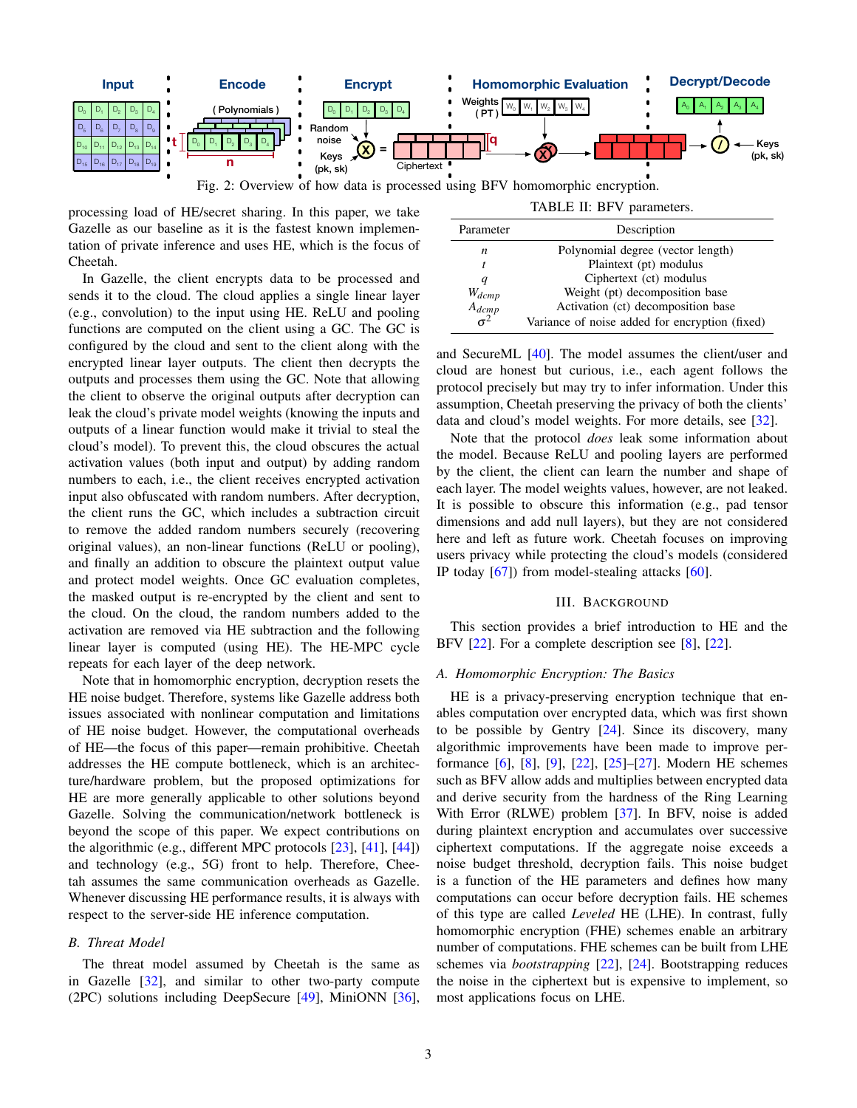<span id="page-2-0"></span>

Fig. 2: Overview of how data is processed using BFV homomorphic encryption.

processing load of HE/secret sharing. In this paper, we take Gazelle as our baseline as it is the fastest known implementation of private inference and uses HE, which is the focus of Cheetah.

In Gazelle, the client encrypts data to be processed and sends it to the cloud. The cloud applies a single linear layer (e.g., convolution) to the input using HE. ReLU and pooling functions are computed on the client using a GC. The GC is configured by the cloud and sent to the client along with the encrypted linear layer outputs. The client then decrypts the outputs and processes them using the GC. Note that allowing the client to observe the original outputs after decryption can leak the cloud's private model weights (knowing the inputs and outputs of a linear function would make it trivial to steal the cloud's model). To prevent this, the cloud obscures the actual activation values (both input and output) by adding random numbers to each, i.e., the client receives encrypted activation input also obfuscated with random numbers. After decryption, the client runs the GC, which includes a subtraction circuit to remove the added random numbers securely (recovering original values), an non-linear functions (ReLU or pooling), and finally an addition to obscure the plaintext output value and protect model weights. Once GC evaluation completes, the masked output is re-encrypted by the client and sent to the cloud. On the cloud, the random numbers added to the activation are removed via HE subtraction and the following linear layer is computed (using HE). The HE-MPC cycle repeats for each layer of the deep network.

Note that in homomorphic encryption, decryption resets the HE noise budget. Therefore, systems like Gazelle address both issues associated with nonlinear computation and limitations of HE noise budget. However, the computational overheads of HE—the focus of this paper—remain prohibitive. Cheetah addresses the HE compute bottleneck, which is an architecture/hardware problem, but the proposed optimizations for HE are more generally applicable to other solutions beyond Gazelle. Solving the communication/network bottleneck is beyond the scope of this paper. We expect contributions on the algorithmic (e.g., different MPC protocols [\[23\]](#page-11-16), [\[41\]](#page-12-12), [\[44\]](#page-12-9)) and technology (e.g., 5G) front to help. Therefore, Cheetah assumes the same communication overheads as Gazelle. Whenever discussing HE performance results, it is always with respect to the server-side HE inference computation.

## *B. Threat Model*

The threat model assumed by Cheetah is the same as in Gazelle  $[32]$ , and similar to other two-party compute (2PC) solutions including DeepSecure [\[49\]](#page-12-4), MiniONN [\[36\]](#page-11-7),

|  |  | TABLE II: BFV parameters. |  |
|--|--|---------------------------|--|
|--|--|---------------------------|--|

<span id="page-2-1"></span>

| Parameter  | Description                                    |
|------------|------------------------------------------------|
| n          | Polynomial degree (vector length)              |
| t          | Plaintext (pt) modulus                         |
| q          | Ciphertext (ct) modulus                        |
| $W_{dcmp}$ | Weight (pt) decomposition base                 |
| $A_{dcmp}$ | Activation (ct) decomposition base             |
|            | Variance of noise added for encryption (fixed) |

and SecureML [\[40\]](#page-11-13). The model assumes the client/user and cloud are honest but curious, i.e., each agent follows the protocol precisely but may try to infer information. Under this assumption, Cheetah preserving the privacy of both the clients' data and cloud's model weights. For more details, see [\[32\]](#page-11-6).

Note that the protocol *does* leak some information about the model. Because ReLU and pooling layers are performed by the client, the client can learn the number and shape of each layer. The model weights values, however, are not leaked. It is possible to obscure this information (e.g., pad tensor dimensions and add null layers), but they are not considered here and left as future work. Cheetah focuses on improving users privacy while protecting the cloud's models (considered IP today  $[67]$ ) from model-stealing attacks  $[60]$ .

# III. BACKGROUND

<span id="page-2-2"></span>This section provides a brief introduction to HE and the BFV [\[22\]](#page-11-17). For a complete description see [\[8\]](#page-11-18), [22].

## *A. Homomorphic Encryption: The Basics*

HE is a privacy-preserving encryption technique that enables computation over encrypted data, which was first shown to be possible by Gentry  $[24]$ . Since its discovery, many algorithmic improvements have been made to improve performance [\[6\]](#page-11-20), [\[8\]](#page-11-18), [\[9\]](#page-11-21), [\[22\]](#page-11-17), [\[25\]](#page-11-22)–[\[27\]](#page-11-23). Modern HE schemes such as BFV allow adds and multiplies between encrypted data and derive security from the hardness of the Ring Learning With Error (RLWE) problem [\[37\]](#page-11-24). In BFV, noise is added during plaintext encryption and accumulates over successive ciphertext computations. If the aggregate noise exceeds a noise budget threshold, decryption fails. This noise budget is a function of the HE parameters and defines how many computations can occur before decryption fails. HE schemes of this type are called *Leveled* HE (LHE). In contrast, fully homomorphic encryption (FHE) schemes enable an arbitrary number of computations. FHE schemes can be built from LHE schemes via *bootstrapping* [\[22\]](#page-11-17), [\[24\]](#page-11-19). Bootstrapping reduces the noise in the ciphertext but is expensive to implement, so most applications focus on LHE.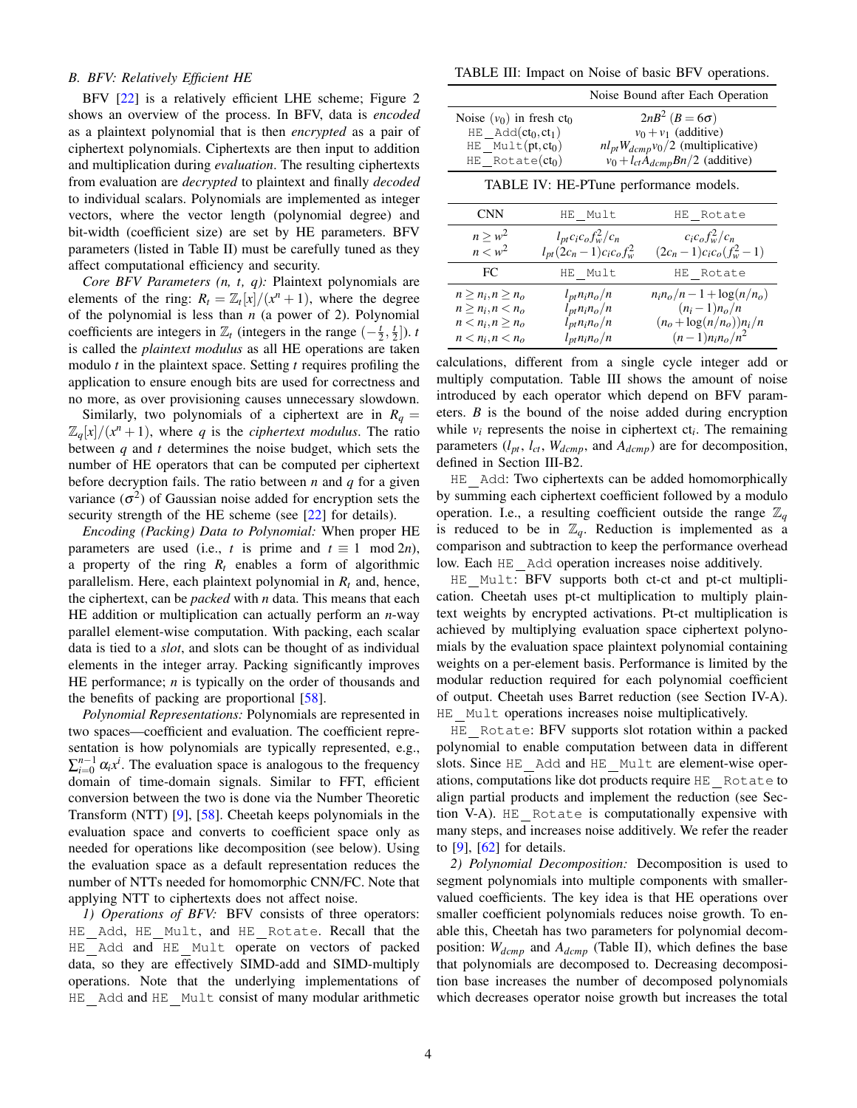# *B. BFV: Relatively Efficient HE*

BFV [\[22\]](#page-11-17) is a relatively efficient LHE scheme; Figure [2](#page-2-0) shows an overview of the process. In BFV, data is *encoded* as a plaintext polynomial that is then *encrypted* as a pair of ciphertext polynomials. Ciphertexts are then input to addition and multiplication during *evaluation*. The resulting ciphertexts from evaluation are *decrypted* to plaintext and finally *decoded* to individual scalars. Polynomials are implemented as integer vectors, where the vector length (polynomial degree) and bit-width (coefficient size) are set by HE parameters. BFV parameters (listed in Table [II\)](#page-2-1) must be carefully tuned as they affect computational efficiency and security.

*Core BFV Parameters (n, t, q):* Plaintext polynomials are elements of the ring:  $R_t = \mathbb{Z}_t[x]/(x^n + 1)$ , where the degree of the polynomial is less than *n* (a power of 2). Polynomial coefficients are integers in  $\mathbb{Z}_t$  (integers in the range  $\left(-\frac{t}{2}, \frac{t}{2}\right)$ ). *t* is called the *plaintext modulus* as all HE operations are taken modulo *t* in the plaintext space. Setting *t* requires profiling the application to ensure enough bits are used for correctness and no more, as over provisioning causes unnecessary slowdown.

Similarly, two polynomials of a ciphertext are in  $R_q =$  $\mathbb{Z}_q[x]/(x^n+1)$ , where *q* is the *ciphertext modulus*. The ratio between *q* and *t* determines the noise budget, which sets the number of HE operators that can be computed per ciphertext before decryption fails. The ratio between *n* and *q* for a given variance  $(\sigma^2)$  of Gaussian noise added for encryption sets the security strength of the HE scheme (see [\[22\]](#page-11-17) for details).

*Encoding (Packing) Data to Polynomial:* When proper HE parameters are used (i.e., *t* is prime and  $t \equiv 1 \mod 2n$ ), a property of the ring *R<sup>t</sup>* enables a form of algorithmic parallelism. Here, each plaintext polynomial in *R<sup>t</sup>* and, hence, the ciphertext, can be *packed* with *n* data. This means that each HE addition or multiplication can actually perform an *n*-way parallel element-wise computation. With packing, each scalar data is tied to a *slot*, and slots can be thought of as individual elements in the integer array. Packing significantly improves HE performance; *n* is typically on the order of thousands and the benefits of packing are proportional  $[58]$ .

*Polynomial Representations:* Polynomials are represented in two spaces—coefficient and evaluation. The coefficient representation is how polynomials are typically represented, e.g.,  $\sum_{i=0}^{n-1} \alpha_i x^i$ . The evaluation space is analogous to the frequency domain of time-domain signals. Similar to FFT, efficient conversion between the two is done via the Number Theoretic Transform (NTT) [\[9\]](#page-11-21), [\[58\]](#page-12-14). Cheetah keeps polynomials in the evaluation space and converts to coefficient space only as needed for operations like decomposition (see below). Using the evaluation space as a default representation reduces the number of NTTs needed for homomorphic CNN/FC. Note that applying NTT to ciphertexts does not affect noise.

*1) Operations of BFV:* BFV consists of three operators: HE Add, HE Mult, and HE Rotate. Recall that the HE Add and HE Mult operate on vectors of packed data, so they are effectively SIMD-add and SIMD-multiply operations. Note that the underlying implementations of HE\_Add and HE\_Mult consist of many modular arithmetic

<span id="page-3-0"></span>TABLE III: Impact on Noise of basic BFV operations.

|                                        | Noise Bound after Each Operation              |
|----------------------------------------|-----------------------------------------------|
| Noise $(v_0)$ in fresh ct <sub>0</sub> | $2nB^2$ ( $B=6\sigma$ )                       |
| $HE$ $Add(ct_0, ct_1)$                 | $v_0 + v_1$ (additive)                        |
| $HE$ Mult $(pt, ct_0)$                 | $nl_{pt}W_{dcmp}v_0/2$ (multiplicative)       |
| $HE$ Rotate $(ct_0)$                   | $v_0 + l_{ct} \dot{A}_{dcmp} Bn/2$ (additive) |

TABLE IV: HE-PTune performance models.

<span id="page-3-2"></span>

| <b>CNN</b>                                                                                       | HE Mult                                                                                                                          | HE Rotate                                                                                                |
|--------------------------------------------------------------------------------------------------|----------------------------------------------------------------------------------------------------------------------------------|----------------------------------------------------------------------------------------------------------|
| $n \geq w^2$<br>$n < w^2$                                                                        | $l_{pt}c_ic_of_w^2/c_n$<br>$l_{pt}(2c_n-1)c_ic_of_w^2$                                                                           | $c_i c_o f_w^2/c_n$<br>$(2c_n-1)c_ic_o(f_w^2-1)$                                                         |
| FC                                                                                               | HE Mult                                                                                                                          | HE Rotate                                                                                                |
| $n \geq n_i, n \geq n_o$<br>$n \geq n_i, n < n_o$<br>$n < n_i, n \geq n_o$<br>$n < n_i, n < n_o$ | $l_{pt}n_i n_o/n$<br>$l_{pt}n_i n_o/n$<br>$l_{pt}$ n <sub>i</sub> n <sub>o</sub> /n<br>$l_{pt}$ n <sub>i</sub> n <sub>o</sub> /n | $n_i n_o/n - 1 + \log(n/n_o)$<br>$(n_i-1)n_o/n$<br>$(n_o + \log(n/n_o))n_i/n$<br>$(n-1)n_{i}n_{o}/n^{2}$ |

calculations, different from a single cycle integer add or multiply computation. Table [III](#page-3-0) shows the amount of noise introduced by each operator which depend on BFV parameters. *B* is the bound of the noise added during encryption while  $v_i$  represents the noise in ciphertext  $ct_i$ . The remaining parameters  $(l_{pt}, l_{ct}, W_{dcmp},$  and  $A_{dcmp})$  are for decomposition, defined in Section [III-B2.](#page-3-1)

HE Add: Two ciphertexts can be added homomorphically by summing each ciphertext coefficient followed by a modulo operation. I.e., a resulting coefficient outside the range  $\mathbb{Z}_q$ is reduced to be in  $\mathbb{Z}_q$ . Reduction is implemented as a comparison and subtraction to keep the performance overhead low. Each HE Add operation increases noise additively.

HE Mult: BFV supports both ct-ct and pt-ct multiplication. Cheetah uses pt-ct multiplication to multiply plaintext weights by encrypted activations. Pt-ct multiplication is achieved by multiplying evaluation space ciphertext polynomials by the evaluation space plaintext polynomial containing weights on a per-element basis. Performance is limited by the modular reduction required for each polynomial coefficient of output. Cheetah uses Barret reduction (see Section [IV-A\)](#page-4-1). HE Mult operations increases noise multiplicatively.

HE Rotate: BFV supports slot rotation within a packed polynomial to enable computation between data in different slots. Since HE Add and HE Mult are element-wise operations, computations like dot products require HE Rotate to align partial products and implement the reduction (see Section [V-A\)](#page-5-0). HE Rotate is computationally expensive with many steps, and increases noise additively. We refer the reader to  $[9]$ ,  $[62]$  for details.

<span id="page-3-1"></span>*2) Polynomial Decomposition:* Decomposition is used to segment polynomials into multiple components with smallervalued coefficients. The key idea is that HE operations over smaller coefficient polynomials reduces noise growth. To enable this, Cheetah has two parameters for polynomial decomposition: *Wdcmp* and *Adcmp* (Table [II\)](#page-2-1), which defines the base that polynomials are decomposed to. Decreasing decomposition base increases the number of decomposed polynomials which decreases operator noise growth but increases the total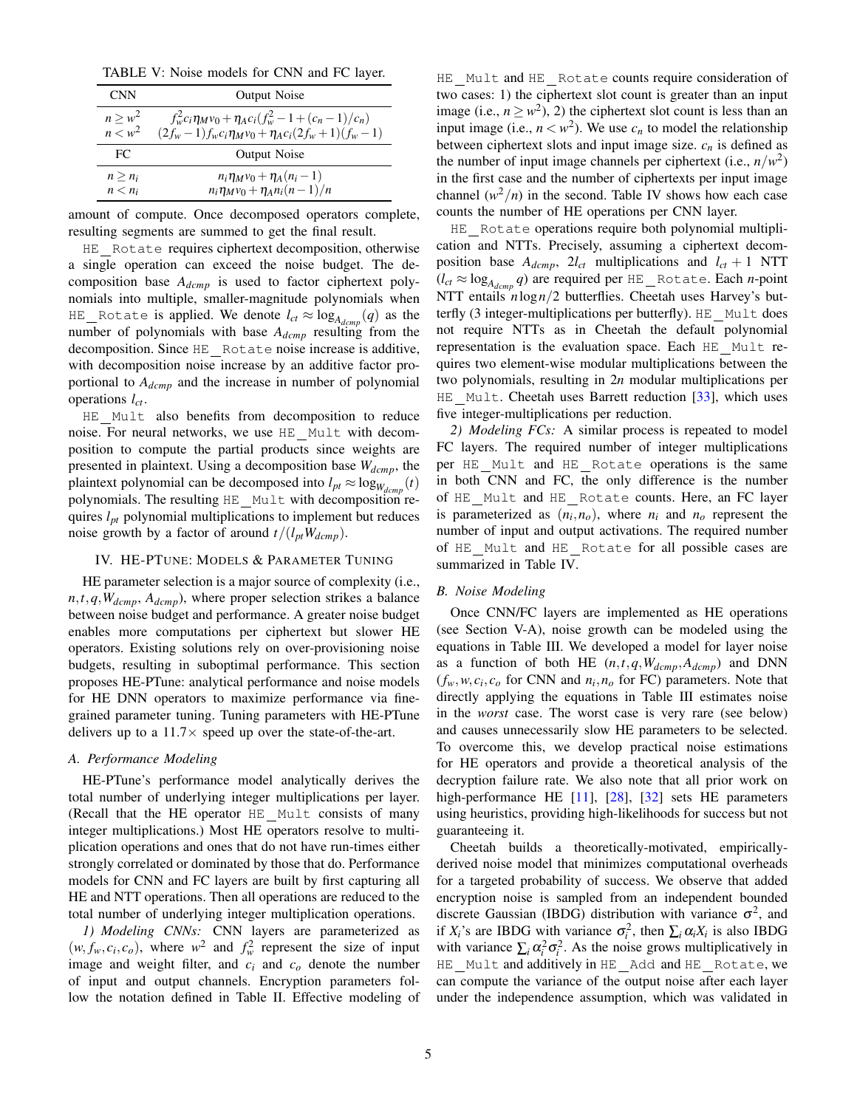<span id="page-4-2"></span>TABLE V: Noise models for CNN and FC layer.

| <b>CNN</b>   | <b>Output Noise</b>                                             |
|--------------|-----------------------------------------------------------------|
| $n \geq w^2$ | $f_w^2 c_i \eta_M v_0 + \eta_A c_i (f_w^2 - 1 + (c_n - 1)/c_n)$ |
| $n < w^2$    | $(2f_w-1)f_w c_i \eta_M v_0 + \eta_A c_i (2f_w+1)(f_w-1)$       |
| FC.          | <b>Output Noise</b>                                             |
| $n > n_i$    | $n_i \eta_M v_0 + \eta_A (n_i - 1)$                             |
| $n < n_i$    | $n_i \eta_M v_0 + \eta_A n_i (n-1)/n$                           |

amount of compute. Once decomposed operators complete, resulting segments are summed to get the final result.

HE Rotate requires ciphertext decomposition, otherwise a single operation can exceed the noise budget. The decomposition base *Adcmp* is used to factor ciphertext polynomials into multiple, smaller-magnitude polynomials when  $\text{HE\_Rotate}$  is applied. We denote  $l_{ct} \approx \log_{A_{dcmp}}(q)$  as the number of polynomials with base *Adcmp* resulting from the decomposition. Since HE Rotate noise increase is additive, with decomposition noise increase by an additive factor proportional to *Adcmp* and the increase in number of polynomial operations *lct*.

HE Mult also benefits from decomposition to reduce noise. For neural networks, we use HE Mult with decomposition to compute the partial products since weights are presented in plaintext. Using a decomposition base *Wdcmp*, the plaintext polynomial can be decomposed into  $l_{pt} \approx \log_{W_{dcmp}}(t)$ polynomials. The resulting HE Mult with decomposition requires *lpt* polynomial multiplications to implement but reduces noise growth by a factor of around  $t/(l_{pt}W_{dcmp})$ .

## IV. HE-PTUNE: MODELS & PARAMETER TUNING

<span id="page-4-0"></span>HE parameter selection is a major source of complexity (i.e., *n*,*t*,*q*,*Wdcmp*, *Adcmp*), where proper selection strikes a balance between noise budget and performance. A greater noise budget enables more computations per ciphertext but slower HE operators. Existing solutions rely on over-provisioning noise budgets, resulting in suboptimal performance. This section proposes HE-PTune: analytical performance and noise models for HE DNN operators to maximize performance via finegrained parameter tuning. Tuning parameters with HE-PTune delivers up to a  $11.7\times$  speed up over the state-of-the-art.

# <span id="page-4-1"></span>*A. Performance Modeling*

HE-PTune's performance model analytically derives the total number of underlying integer multiplications per layer. (Recall that the HE operator HE Mult consists of many integer multiplications.) Most HE operators resolve to multiplication operations and ones that do not have run-times either strongly correlated or dominated by those that do. Performance models for CNN and FC layers are built by first capturing all HE and NTT operations. Then all operations are reduced to the total number of underlying integer multiplication operations.

*1) Modeling CNNs:* CNN layers are parameterized as  $(w, f_w, c_i, c_o)$ , where  $w^2$  and  $f_w^2$  represent the size of input image and weight filter, and *c<sup>i</sup>* and *c<sup>o</sup>* denote the number of input and output channels. Encryption parameters follow the notation defined in Table [II.](#page-2-1) Effective modeling of

HE Mult and HE Rotate counts require consideration of two cases: 1) the ciphertext slot count is greater than an input image (i.e.,  $n \geq w^2$ ), 2) the ciphertext slot count is less than an input image (i.e.,  $n < w^2$ ). We use  $c_n$  to model the relationship between ciphertext slots and input image size.  $c_n$  is defined as the number of input image channels per ciphertext (i.e.,  $n/w^2$ ) in the first case and the number of ciphertexts per input image channel  $(w^2/n)$  in the second. Table [IV](#page-3-2) shows how each case counts the number of HE operations per CNN layer.

HE Rotate operations require both polynomial multiplication and NTTs. Precisely, assuming a ciphertext decomposition base  $A_{dcmp}$ ,  $2l_{ct}$  multiplications and  $l_{ct}$  + 1 NTT  $(l_{ct} \approx \log_{A_{dcmp}} q)$  are required per <code>HE\_Rotate</code>. Each *n*-point NTT entails *n*log*n*/2 butterflies. Cheetah uses Harvey's butterfly (3 integer-multiplications per butterfly). HE Mult does not require NTTs as in Cheetah the default polynomial representation is the evaluation space. Each HE Mult requires two element-wise modular multiplications between the two polynomials, resulting in 2*n* modular multiplications per HE Mult. Cheetah uses Barrett reduction [\[33\]](#page-11-25), which uses five integer-multiplications per reduction.

*2) Modeling FCs:* A similar process is repeated to model FC layers. The required number of integer multiplications per HE Mult and HE Rotate operations is the same in both CNN and FC, the only difference is the number of HE Mult and HE Rotate counts. Here, an FC layer is parameterized as  $(n_i, n_o)$ , where  $n_i$  and  $n_o$  represent the number of input and output activations. The required number of HE Mult and HE Rotate for all possible cases are summarized in Table [IV.](#page-3-2)

## *B. Noise Modeling*

Once CNN/FC layers are implemented as HE operations (see Section [V-A\)](#page-5-0), noise growth can be modeled using the equations in Table [III.](#page-3-0) We developed a model for layer noise as a function of both HE (*n*,*t*,*q*,*Wdcmp*,*Adcmp*) and DNN  $(f_w, w, c_i, c_o$  for CNN and  $n_i, n_o$  for FC) parameters. Note that directly applying the equations in Table [III](#page-3-0) estimates noise in the *worst* case. The worst case is very rare (see below) and causes unnecessarily slow HE parameters to be selected. To overcome this, we develop practical noise estimations for HE operators and provide a theoretical analysis of the decryption failure rate. We also note that all prior work on high-performance HE [\[11\]](#page-11-26), [\[28\]](#page-11-9), [\[32\]](#page-11-6) sets HE parameters using heuristics, providing high-likelihoods for success but not guaranteeing it.

Cheetah builds a theoretically-motivated, empiricallyderived noise model that minimizes computational overheads for a targeted probability of success. We observe that added encryption noise is sampled from an independent bounded discrete Gaussian (IBDG) distribution with variance  $\sigma^2$ , and if  $X_i$ 's are IBDG with variance  $\sigma_i^2$ , then  $\sum_i \alpha_i X_i$  is also IBDG with variance  $\sum_i \alpha_i^2 \sigma_i^2$ . As the noise grows multiplicatively in HE Mult and additively in HE Add and HE Rotate, we can compute the variance of the output noise after each layer under the independence assumption, which was validated in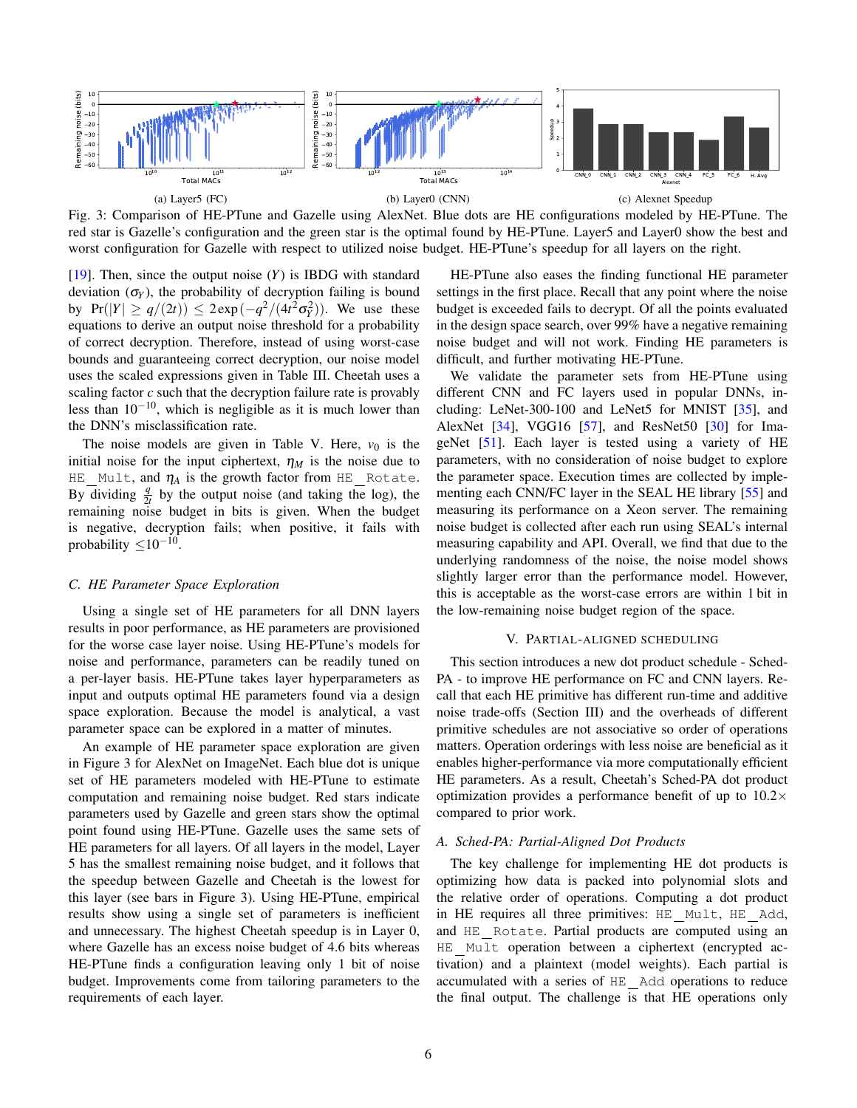<span id="page-5-1"></span>

Fig. 3: Comparison of HE-PTune and Gazelle using AlexNet. Blue dots are HE configurations modeled by HE-PTune. The red star is Gazelle's configuration and the green star is the optimal found by HE-PTune. Layer5 and Layer0 show the best and worst configuration for Gazelle with respect to utilized noise budget. HE-PTune's speedup for all layers on the right.

[\[19\]](#page-11-27). Then, since the output noise (*Y*) is IBDG with standard deviation  $(\sigma_Y)$ , the probability of decryption failing is bound by  $Pr(|Y| \ge q/(2t)) \le 2exp(-q^2/(4t^2\sigma_Y^2))$ . We use these equations to derive an output noise threshold for a probability of correct decryption. Therefore, instead of using worst-case bounds and guaranteeing correct decryption, our noise model uses the scaled expressions given in Table [III.](#page-3-0) Cheetah uses a scaling factor *c* such that the decryption failure rate is provably less than  $10^{-10}$ , which is negligible as it is much lower than the DNN's misclassification rate.

The noise models are given in Table [V.](#page-4-2) Here,  $v_0$  is the initial noise for the input ciphertext,  $\eta_M$  is the noise due to  $HE$ <sub>*Mult, and*  $\eta_A$  *is the growth factor from HE*<sub>*<i>Rotate.*</sub></sub> By dividing  $\frac{q}{2t}$  by the output noise (and taking the log), the remaining noise budget in bits is given. When the budget is negative, decryption fails; when positive, it fails with probability  $\leq$ 10<sup>-10</sup>.

## *C. HE Parameter Space Exploration*

Using a single set of HE parameters for all DNN layers results in poor performance, as HE parameters are provisioned for the worse case layer noise. Using HE-PTune's models for noise and performance, parameters can be readily tuned on a per-layer basis. HE-PTune takes layer hyperparameters as input and outputs optimal HE parameters found via a design space exploration. Because the model is analytical, a vast parameter space can be explored in a matter of minutes.

An example of HE parameter space exploration are given in Figure [3](#page-5-1) for AlexNet on ImageNet. Each blue dot is unique set of HE parameters modeled with HE-PTune to estimate computation and remaining noise budget. Red stars indicate parameters used by Gazelle and green stars show the optimal point found using HE-PTune. Gazelle uses the same sets of HE parameters for all layers. Of all layers in the model, Layer 5 has the smallest remaining noise budget, and it follows that the speedup between Gazelle and Cheetah is the lowest for this layer (see bars in Figure [3\)](#page-5-1). Using HE-PTune, empirical results show using a single set of parameters is inefficient and unnecessary. The highest Cheetah speedup is in Layer 0, where Gazelle has an excess noise budget of 4.6 bits whereas HE-PTune finds a configuration leaving only 1 bit of noise budget. Improvements come from tailoring parameters to the requirements of each layer.

HE-PTune also eases the finding functional HE parameter settings in the first place. Recall that any point where the noise budget is exceeded fails to decrypt. Of all the points evaluated in the design space search, over 99% have a negative remaining noise budget and will not work. Finding HE parameters is difficult, and further motivating HE-PTune.

We validate the parameter sets from HE-PTune using different CNN and FC layers used in popular DNNs, including: LeNet-300-100 and LeNet5 for MNIST [\[35\]](#page-11-28), and AlexNet [\[34\]](#page-11-29), VGG16 [\[57\]](#page-12-16), and ResNet50 [\[30\]](#page-11-30) for ImageNet [\[51\]](#page-12-17). Each layer is tested using a variety of HE parameters, with no consideration of noise budget to explore the parameter space. Execution times are collected by implementing each CNN/FC layer in the SEAL HE library [\[55\]](#page-12-8) and measuring its performance on a Xeon server. The remaining noise budget is collected after each run using SEAL's internal measuring capability and API. Overall, we find that due to the underlying randomness of the noise, the noise model shows slightly larger error than the performance model. However, this is acceptable as the worst-case errors are within 1 bit in the low-remaining noise budget region of the space.

#### V. PARTIAL-ALIGNED SCHEDULING

This section introduces a new dot product schedule - Sched-PA - to improve HE performance on FC and CNN layers. Recall that each HE primitive has different run-time and additive noise trade-offs (Section [III\)](#page-2-2) and the overheads of different primitive schedules are not associative so order of operations matters. Operation orderings with less noise are beneficial as it enables higher-performance via more computationally efficient HE parameters. As a result, Cheetah's Sched-PA dot product optimization provides a performance benefit of up to  $10.2\times$ compared to prior work.

## <span id="page-5-0"></span>*A. Sched-PA: Partial-Aligned Dot Products*

The key challenge for implementing HE dot products is optimizing how data is packed into polynomial slots and the relative order of operations. Computing a dot product in HE requires all three primitives: HE Mult, HE Add, and HE Rotate. Partial products are computed using an HE Mult operation between a ciphertext (encrypted activation) and a plaintext (model weights). Each partial is accumulated with a series of HE Add operations to reduce the final output. The challenge is that HE operations only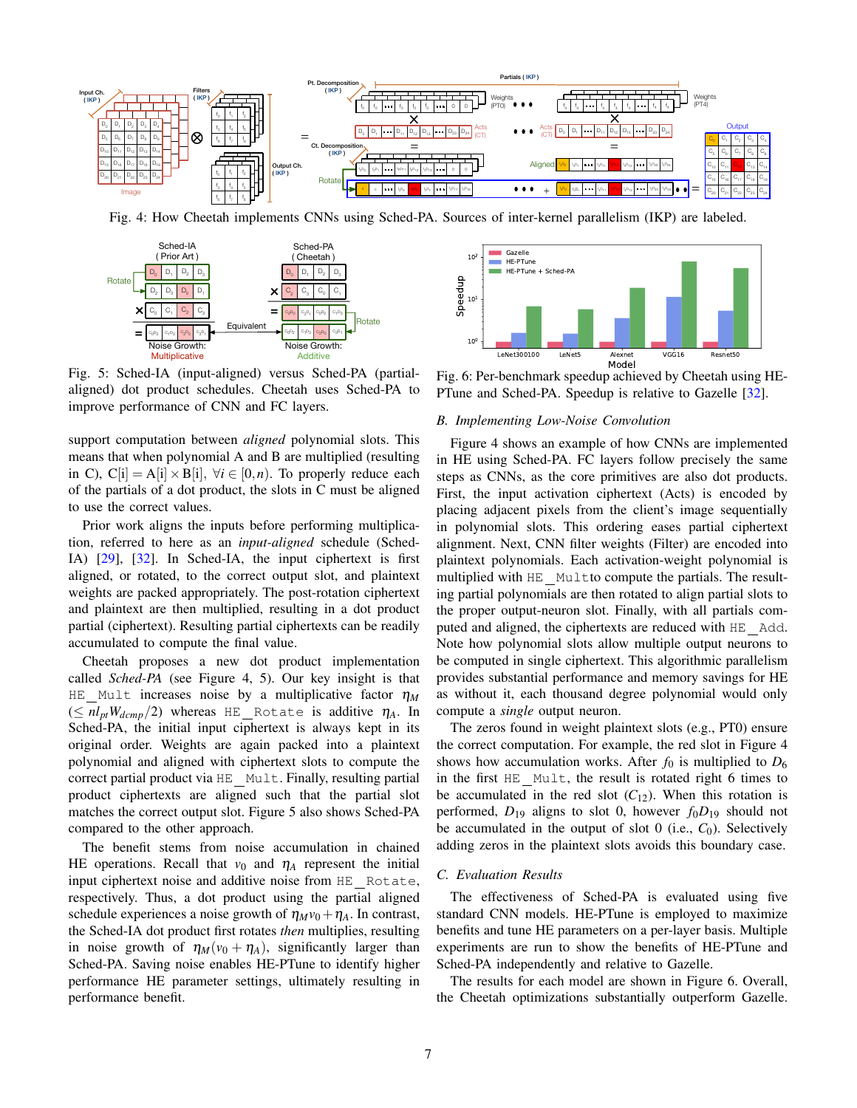<span id="page-6-0"></span>

Fig. 4: How Cheetah implements CNNs using Sched-PA. Sources of inter-kernel parallelism (IKP) are labeled.

<span id="page-6-1"></span>

Fig. 5: Sched-IA (input-aligned) versus Sched-PA (partialaligned) dot product schedules. Cheetah uses Sched-PA to improve performance of CNN and FC layers.

support computation between *aligned* polynomial slots. This means that when polynomial A and B are multiplied (resulting in C), C[i] = A[i]  $\times$  B[i],  $\forall i \in [0, n)$ . To properly reduce each of the partials of a dot product, the slots in C must be aligned to use the correct values.

Prior work aligns the inputs before performing multiplication, referred to here as an *input-aligned* schedule (Sched-IA) [\[29\]](#page-11-31), [\[32\]](#page-11-6). In Sched-IA, the input ciphertext is first aligned, or rotated, to the correct output slot, and plaintext weights are packed appropriately. The post-rotation ciphertext and plaintext are then multiplied, resulting in a dot product partial (ciphertext). Resulting partial ciphertexts can be readily accumulated to compute the final value.

Cheetah proposes a new dot product implementation called *Sched-PA* (see Figure [4,](#page-6-0) [5\)](#page-6-1). Our key insight is that HE Mult increases noise by a multiplicative factor  $\eta_M$  $(\leq nl_{pt}W_{dcmp}/2)$  whereas HE Rotate is additive  $\eta_A$ . In Sched-PA, the initial input ciphertext is always kept in its original order. Weights are again packed into a plaintext polynomial and aligned with ciphertext slots to compute the correct partial product via HE Mult. Finally, resulting partial product ciphertexts are aligned such that the partial slot matches the correct output slot. Figure [5](#page-6-1) also shows Sched-PA compared to the other approach.

The benefit stems from noise accumulation in chained HE operations. Recall that  $v_0$  and  $\eta_A$  represent the initial input ciphertext noise and additive noise from HE Rotate, respectively. Thus, a dot product using the partial aligned schedule experiences a noise growth of  $\eta_M v_0 + \eta_A$ . In contrast, the Sched-IA dot product first rotates *then* multiplies, resulting in noise growth of  $\eta_M(v_0 + \eta_A)$ , significantly larger than Sched-PA. Saving noise enables HE-PTune to identify higher performance HE parameter settings, ultimately resulting in performance benefit.

<span id="page-6-2"></span>

Fig. 6: Per-benchmark speedup achieved by Cheetah using HE-PTune and Sched-PA. Speedup is relative to Gazelle [\[32\]](#page-11-6).

#### *B. Implementing Low-Noise Convolution*

Figure [4](#page-6-0) shows an example of how CNNs are implemented in HE using Sched-PA. FC layers follow precisely the same steps as CNNs, as the core primitives are also dot products. First, the input activation ciphertext (Acts) is encoded by placing adjacent pixels from the client's image sequentially in polynomial slots. This ordering eases partial ciphertext alignment. Next, CNN filter weights (Filter) are encoded into plaintext polynomials. Each activation-weight polynomial is multiplied with HE\_Multto compute the partials. The resulting partial polynomials are then rotated to align partial slots to the proper output-neuron slot. Finally, with all partials computed and aligned, the ciphertexts are reduced with HE Add. Note how polynomial slots allow multiple output neurons to be computed in single ciphertext. This algorithmic parallelism provides substantial performance and memory savings for HE as without it, each thousand degree polynomial would only compute a *single* output neuron.

The zeros found in weight plaintext slots (e.g., PT0) ensure the correct computation. For example, the red slot in Figure [4](#page-6-0) shows how accumulation works. After  $f_0$  is multiplied to  $D_6$ in the first HE Mult, the result is rotated right 6 times to be accumulated in the red slot  $(C_{12})$ . When this rotation is performed,  $D_{19}$  aligns to slot 0, however  $f_0D_{19}$  should not be accumulated in the output of slot 0 (i.e., C<sub>0</sub>). Selectively adding zeros in the plaintext slots avoids this boundary case.

# *C. Evaluation Results*

The effectiveness of Sched-PA is evaluated using five standard CNN models. HE-PTune is employed to maximize benefits and tune HE parameters on a per-layer basis. Multiple experiments are run to show the benefits of HE-PTune and Sched-PA independently and relative to Gazelle.

The results for each model are shown in Figure [6.](#page-6-2) Overall, the Cheetah optimizations substantially outperform Gazelle.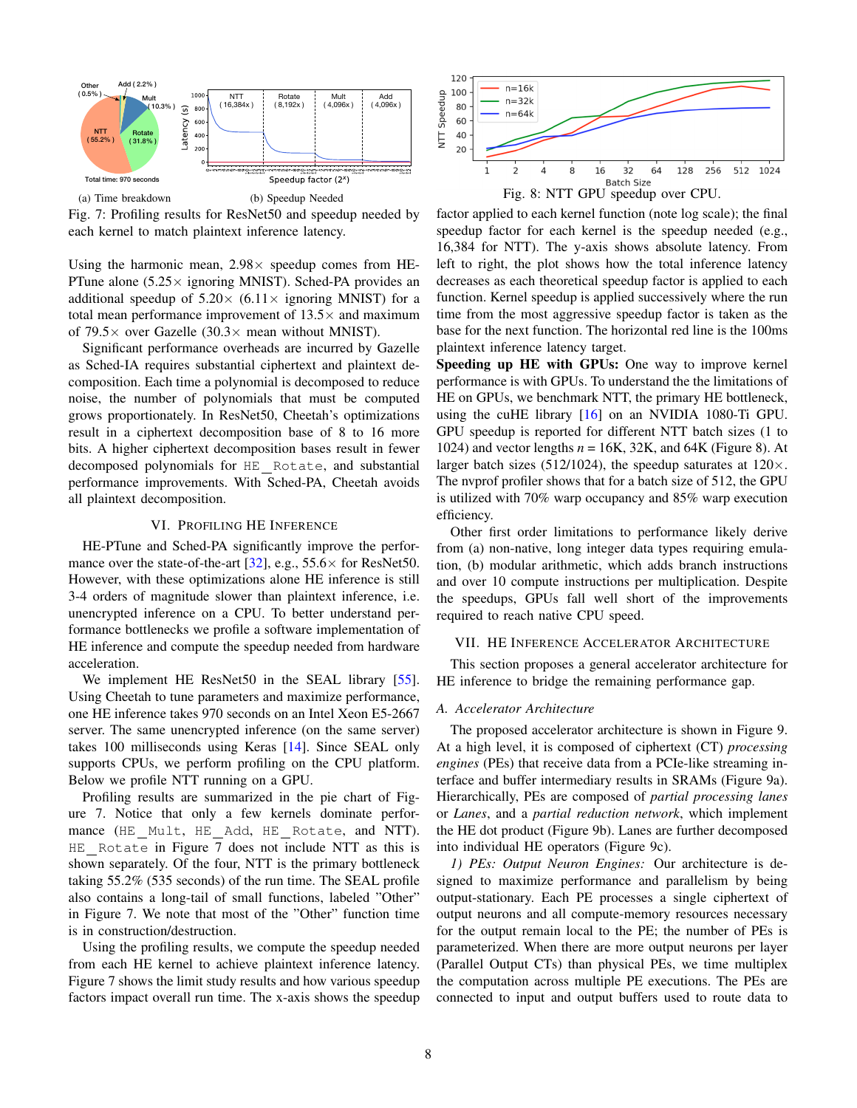<span id="page-7-1"></span>

Fig. 7: Profiling results for ResNet50 and speedup needed by each kernel to match plaintext inference latency.

Using the harmonic mean,  $2.98 \times$  speedup comes from HE-PTune alone  $(5.25 \times$  ignoring MNIST). Sched-PA provides an additional speedup of  $5.20 \times (6.11 \times \text{ignoring MNIST})$  for a total mean performance improvement of  $13.5\times$  and maximum of 79.5 $\times$  over Gazelle (30.3 $\times$  mean without MNIST).

Significant performance overheads are incurred by Gazelle as Sched-IA requires substantial ciphertext and plaintext decomposition. Each time a polynomial is decomposed to reduce noise, the number of polynomials that must be computed grows proportionately. In ResNet50, Cheetah's optimizations result in a ciphertext decomposition base of 8 to 16 more bits. A higher ciphertext decomposition bases result in fewer decomposed polynomials for HE Rotate, and substantial performance improvements. With Sched-PA, Cheetah avoids all plaintext decomposition.

# VI. PROFILING HE INFERENCE

HE-PTune and Sched-PA significantly improve the perfor-mance over the state-of-the-art [\[32\]](#page-11-6), e.g.,  $55.6 \times$  for ResNet50. However, with these optimizations alone HE inference is still 3-4 orders of magnitude slower than plaintext inference, i.e. unencrypted inference on a CPU. To better understand performance bottlenecks we profile a software implementation of HE inference and compute the speedup needed from hardware acceleration.

We implement HE ResNet50 in the SEAL library [\[55\]](#page-12-8). Using Cheetah to tune parameters and maximize performance, one HE inference takes 970 seconds on an Intel Xeon E5-2667 server. The same unencrypted inference (on the same server) takes 100 milliseconds using Keras [\[14\]](#page-11-32). Since SEAL only supports CPUs, we perform profiling on the CPU platform. Below we profile NTT running on a GPU.

Profiling results are summarized in the pie chart of Figure [7.](#page-7-1) Notice that only a few kernels dominate performance (HE Mult, HE Add, HE Rotate, and NTT). HE Rotate in Figure [7](#page-7-1) does not include NTT as this is shown separately. Of the four, NTT is the primary bottleneck taking 55.2% (535 seconds) of the run time. The SEAL profile also contains a long-tail of small functions, labeled "Other" in Figure [7.](#page-7-1) We note that most of the "Other" function time is in construction/destruction.

Using the profiling results, we compute the speedup needed from each HE kernel to achieve plaintext inference latency. Figure [7](#page-7-1) shows the limit study results and how various speedup factors impact overall run time. The x-axis shows the speedup

<span id="page-7-2"></span>

factor applied to each kernel function (note log scale); the final speedup factor for each kernel is the speedup needed (e.g., 16,384 for NTT). The y-axis shows absolute latency. From left to right, the plot shows how the total inference latency decreases as each theoretical speedup factor is applied to each function. Kernel speedup is applied successively where the run time from the most aggressive speedup factor is taken as the base for the next function. The horizontal red line is the 100ms plaintext inference latency target.

Speeding up HE with GPUs: One way to improve kernel performance is with GPUs. To understand the the limitations of HE on GPUs, we benchmark NTT, the primary HE bottleneck, using the cuHE library [\[16\]](#page-11-33) on an NVIDIA 1080-Ti GPU. GPU speedup is reported for different NTT batch sizes (1 to 1024) and vector lengths  $n = 16K$ , 32K, and 64K (Figure [8\)](#page-7-2). At larger batch sizes (512/1024), the speedup saturates at  $120 \times$ . The nvprof profiler shows that for a batch size of 512, the GPU is utilized with 70% warp occupancy and 85% warp execution efficiency.

Other first order limitations to performance likely derive from (a) non-native, long integer data types requiring emulation, (b) modular arithmetic, which adds branch instructions and over 10 compute instructions per multiplication. Despite the speedups, GPUs fall well short of the improvements required to reach native CPU speed.

#### <span id="page-7-0"></span>VII. HE INFERENCE ACCELERATOR ARCHITECTURE

This section proposes a general accelerator architecture for HE inference to bridge the remaining performance gap.

#### *A. Accelerator Architecture*

The proposed accelerator architecture is shown in Figure [9.](#page-8-0) At a high level, it is composed of ciphertext (CT) *processing engines* (PEs) that receive data from a PCIe-like streaming interface and buffer intermediary results in SRAMs (Figure [9a](#page-8-0)). Hierarchically, PEs are composed of *partial processing lanes* or *Lanes*, and a *partial reduction network*, which implement the HE dot product (Figure [9b](#page-8-0)). Lanes are further decomposed into individual HE operators (Figure [9c](#page-8-0)).

*1) PEs: Output Neuron Engines:* Our architecture is designed to maximize performance and parallelism by being output-stationary. Each PE processes a single ciphertext of output neurons and all compute-memory resources necessary for the output remain local to the PE; the number of PEs is parameterized. When there are more output neurons per layer (Parallel Output CTs) than physical PEs, we time multiplex the computation across multiple PE executions. The PEs are connected to input and output buffers used to route data to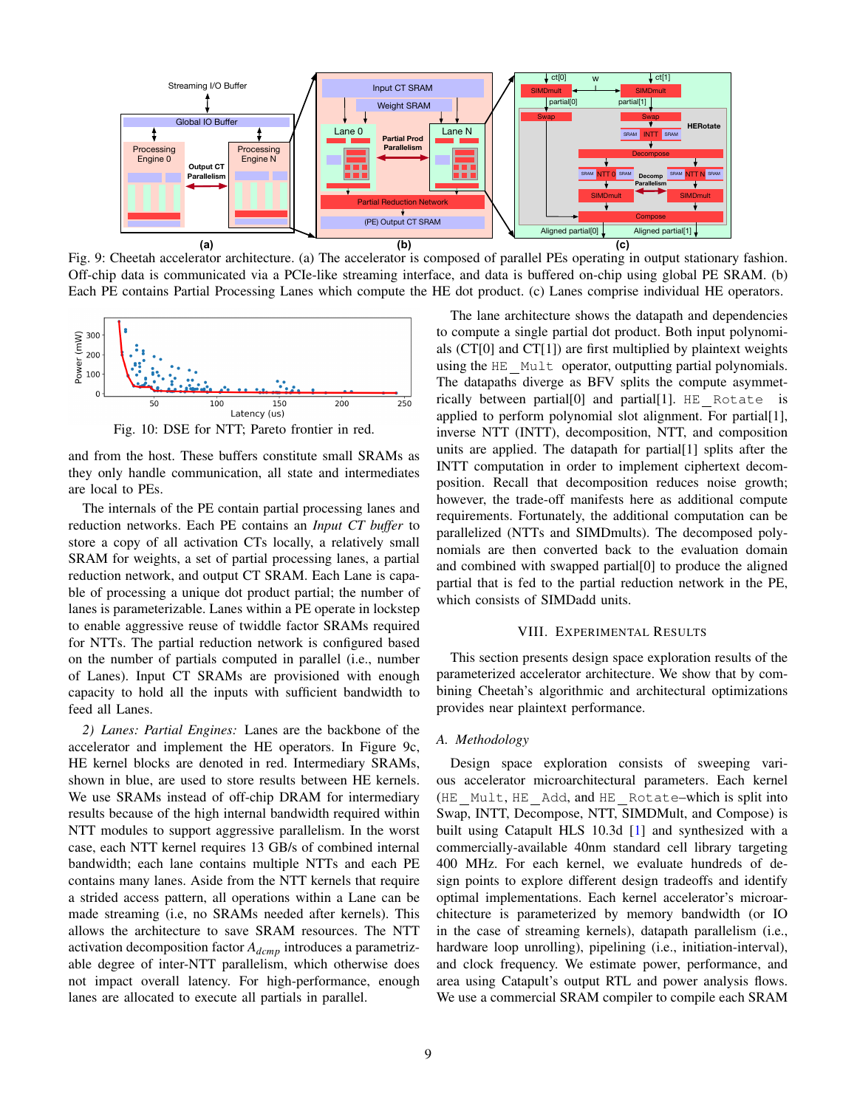<span id="page-8-0"></span>

Fig. 9: Cheetah accelerator architecture. (a) The accelerator is composed of parallel PEs operating in output stationary fashion. Off-chip data is communicated via a PCIe-like streaming interface, and data is buffered on-chip using global PE SRAM. (b) Each PE contains Partial Processing Lanes which compute the HE dot product. (c) Lanes comprise individual HE operators.

<span id="page-8-1"></span>

Fig. 10: DSE for NTT; Pareto frontier in red.

and from the host. These buffers constitute small SRAMs as they only handle communication, all state and intermediates are local to PEs.

The internals of the PE contain partial processing lanes and reduction networks. Each PE contains an *Input CT buffer* to store a copy of all activation CTs locally, a relatively small SRAM for weights, a set of partial processing lanes, a partial reduction network, and output CT SRAM. Each Lane is capable of processing a unique dot product partial; the number of lanes is parameterizable. Lanes within a PE operate in lockstep to enable aggressive reuse of twiddle factor SRAMs required for NTTs. The partial reduction network is configured based on the number of partials computed in parallel (i.e., number of Lanes). Input CT SRAMs are provisioned with enough capacity to hold all the inputs with sufficient bandwidth to feed all Lanes.

*2) Lanes: Partial Engines:* Lanes are the backbone of the accelerator and implement the HE operators. In Figure [9c](#page-8-0), HE kernel blocks are denoted in red. Intermediary SRAMs, shown in blue, are used to store results between HE kernels. We use SRAMs instead of off-chip DRAM for intermediary results because of the high internal bandwidth required within NTT modules to support aggressive parallelism. In the worst case, each NTT kernel requires 13 GB/s of combined internal bandwidth; each lane contains multiple NTTs and each PE contains many lanes. Aside from the NTT kernels that require a strided access pattern, all operations within a Lane can be made streaming (i.e, no SRAMs needed after kernels). This allows the architecture to save SRAM resources. The NTT activation decomposition factor *Adcmp* introduces a parametrizable degree of inter-NTT parallelism, which otherwise does not impact overall latency. For high-performance, enough lanes are allocated to execute all partials in parallel.

The lane architecture shows the datapath and dependencies to compute a single partial dot product. Both input polynomials (CT[0] and CT[1]) are first multiplied by plaintext weights using the HE Mult operator, outputting partial polynomials. The datapaths diverge as BFV splits the compute asymmetrically between partial[0] and partial[1]. HE Rotate is applied to perform polynomial slot alignment. For partial[1], inverse NTT (INTT), decomposition, NTT, and composition units are applied. The datapath for partial[1] splits after the INTT computation in order to implement ciphertext decomposition. Recall that decomposition reduces noise growth; however, the trade-off manifests here as additional compute requirements. Fortunately, the additional computation can be parallelized (NTTs and SIMDmults). The decomposed polynomials are then converted back to the evaluation domain and combined with swapped partial[0] to produce the aligned partial that is fed to the partial reduction network in the PE, which consists of SIMDadd units.

#### VIII. EXPERIMENTAL RESULTS

This section presents design space exploration results of the parameterized accelerator architecture. We show that by combining Cheetah's algorithmic and architectural optimizations provides near plaintext performance.

#### *A. Methodology*

Design space exploration consists of sweeping various accelerator microarchitectural parameters. Each kernel (HE Mult, HE Add, and HE Rotate–which is split into Swap, INTT, Decompose, NTT, SIMDMult, and Compose) is built using Catapult HLS 10.3d [\[1\]](#page-11-34) and synthesized with a commercially-available 40nm standard cell library targeting 400 MHz. For each kernel, we evaluate hundreds of design points to explore different design tradeoffs and identify optimal implementations. Each kernel accelerator's microarchitecture is parameterized by memory bandwidth (or IO in the case of streaming kernels), datapath parallelism (i.e., hardware loop unrolling), pipelining (i.e., initiation-interval), and clock frequency. We estimate power, performance, and area using Catapult's output RTL and power analysis flows. We use a commercial SRAM compiler to compile each SRAM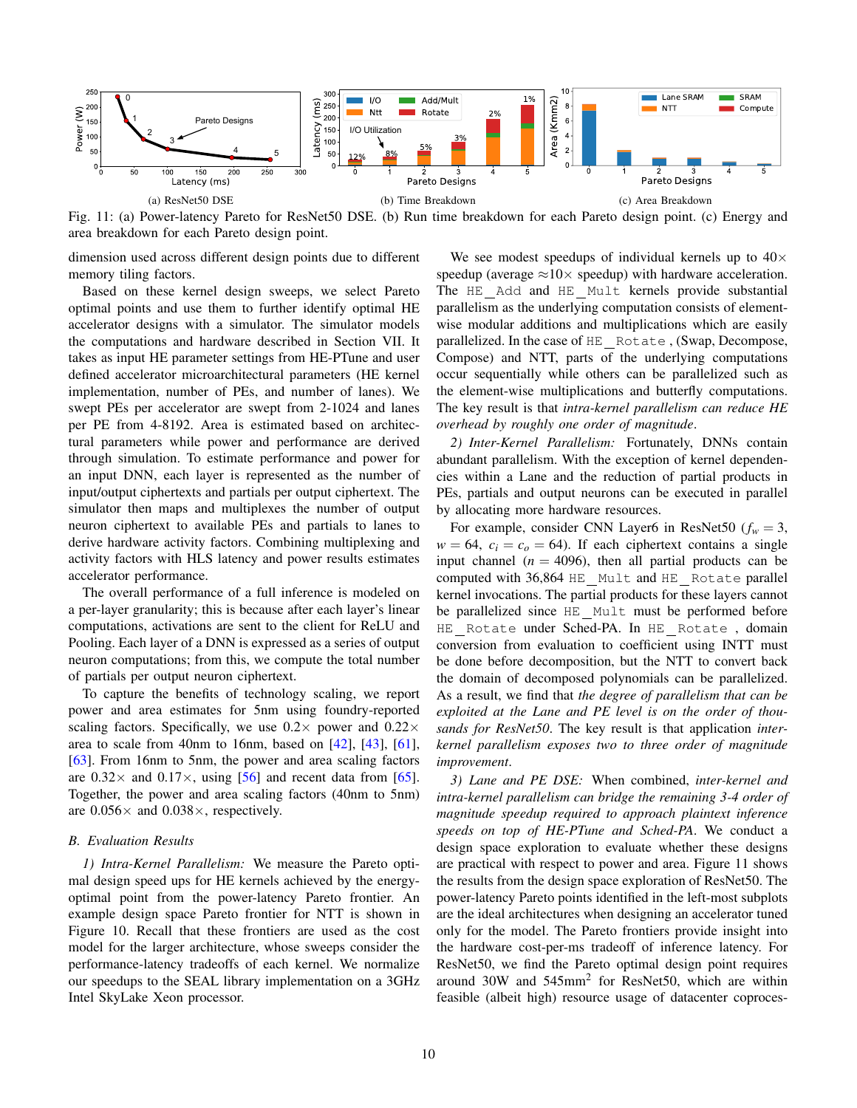<span id="page-9-0"></span>

Fig. 11: (a) Power-latency Pareto for ResNet50 DSE. (b) Run time breakdown for each Pareto design point. (c) Energy and area breakdown for each Pareto design point.

dimension used across different design points due to different memory tiling factors.

Based on these kernel design sweeps, we select Pareto optimal points and use them to further identify optimal HE accelerator designs with a simulator. The simulator models the computations and hardware described in Section [VII.](#page-7-0) It takes as input HE parameter settings from HE-PTune and user defined accelerator microarchitectural parameters (HE kernel implementation, number of PEs, and number of lanes). We swept PEs per accelerator are swept from 2-1024 and lanes per PE from 4-8192. Area is estimated based on architectural parameters while power and performance are derived through simulation. To estimate performance and power for an input DNN, each layer is represented as the number of input/output ciphertexts and partials per output ciphertext. The simulator then maps and multiplexes the number of output neuron ciphertext to available PEs and partials to lanes to derive hardware activity factors. Combining multiplexing and activity factors with HLS latency and power results estimates accelerator performance.

The overall performance of a full inference is modeled on a per-layer granularity; this is because after each layer's linear computations, activations are sent to the client for ReLU and Pooling. Each layer of a DNN is expressed as a series of output neuron computations; from this, we compute the total number of partials per output neuron ciphertext.

To capture the benefits of technology scaling, we report power and area estimates for 5nm using foundry-reported scaling factors. Specifically, we use  $0.2 \times$  power and  $0.22 \times$ area to scale from 40nm to 16nm, based on [\[42\]](#page-12-18), [\[43\]](#page-12-19), [\[61\]](#page-12-20), [\[63\]](#page-12-21). From 16nm to 5nm, the power and area scaling factors are  $0.32 \times$  and  $0.17 \times$ , using [\[56\]](#page-12-22) and recent data from [\[65\]](#page-12-23). Together, the power and area scaling factors (40nm to 5nm) are  $0.056 \times$  and  $0.038 \times$ , respectively.

#### *B. Evaluation Results*

*1) Intra-Kernel Parallelism:* We measure the Pareto optimal design speed ups for HE kernels achieved by the energyoptimal point from the power-latency Pareto frontier. An example design space Pareto frontier for NTT is shown in Figure [10.](#page-8-1) Recall that these frontiers are used as the cost model for the larger architecture, whose sweeps consider the performance-latency tradeoffs of each kernel. We normalize our speedups to the SEAL library implementation on a 3GHz Intel SkyLake Xeon processor.

We see modest speedups of individual kernels up to  $40\times$ speedup (average  $\approx$ 10 $\times$  speedup) with hardware acceleration. The HE Add and HE Mult kernels provide substantial parallelism as the underlying computation consists of elementwise modular additions and multiplications which are easily parallelized. In the case of HE Rotate , (Swap, Decompose, Compose) and NTT, parts of the underlying computations occur sequentially while others can be parallelized such as the element-wise multiplications and butterfly computations. The key result is that *intra-kernel parallelism can reduce HE overhead by roughly one order of magnitude*.

*2) Inter-Kernel Parallelism:* Fortunately, DNNs contain abundant parallelism. With the exception of kernel dependencies within a Lane and the reduction of partial products in PEs, partials and output neurons can be executed in parallel by allocating more hardware resources.

For example, consider CNN Layer6 in ResNet50 ( $f_w = 3$ ,  $w = 64$ ,  $c_i = c_o = 64$ ). If each ciphertext contains a single input channel  $(n = 4096)$ , then all partial products can be computed with 36,864 HE Mult and HE Rotate parallel kernel invocations. The partial products for these layers cannot be parallelized since HE Mult must be performed before HE Rotate under Sched-PA. In HE Rotate , domain conversion from evaluation to coefficient using INTT must be done before decomposition, but the NTT to convert back the domain of decomposed polynomials can be parallelized. As a result, we find that *the degree of parallelism that can be exploited at the Lane and PE level is on the order of thousands for ResNet50*. The key result is that application *interkernel parallelism exposes two to three order of magnitude improvement*.

*3) Lane and PE DSE:* When combined, *inter-kernel and intra-kernel parallelism can bridge the remaining 3-4 order of magnitude speedup required to approach plaintext inference speeds on top of HE-PTune and Sched-PA*. We conduct a design space exploration to evaluate whether these designs are practical with respect to power and area. Figure [11](#page-9-0) shows the results from the design space exploration of ResNet50. The power-latency Pareto points identified in the left-most subplots are the ideal architectures when designing an accelerator tuned only for the model. The Pareto frontiers provide insight into the hardware cost-per-ms tradeoff of inference latency. For ResNet50, we find the Pareto optimal design point requires around  $30W$  and  $545mm^2$  for ResNet50, which are within feasible (albeit high) resource usage of datacenter coproces-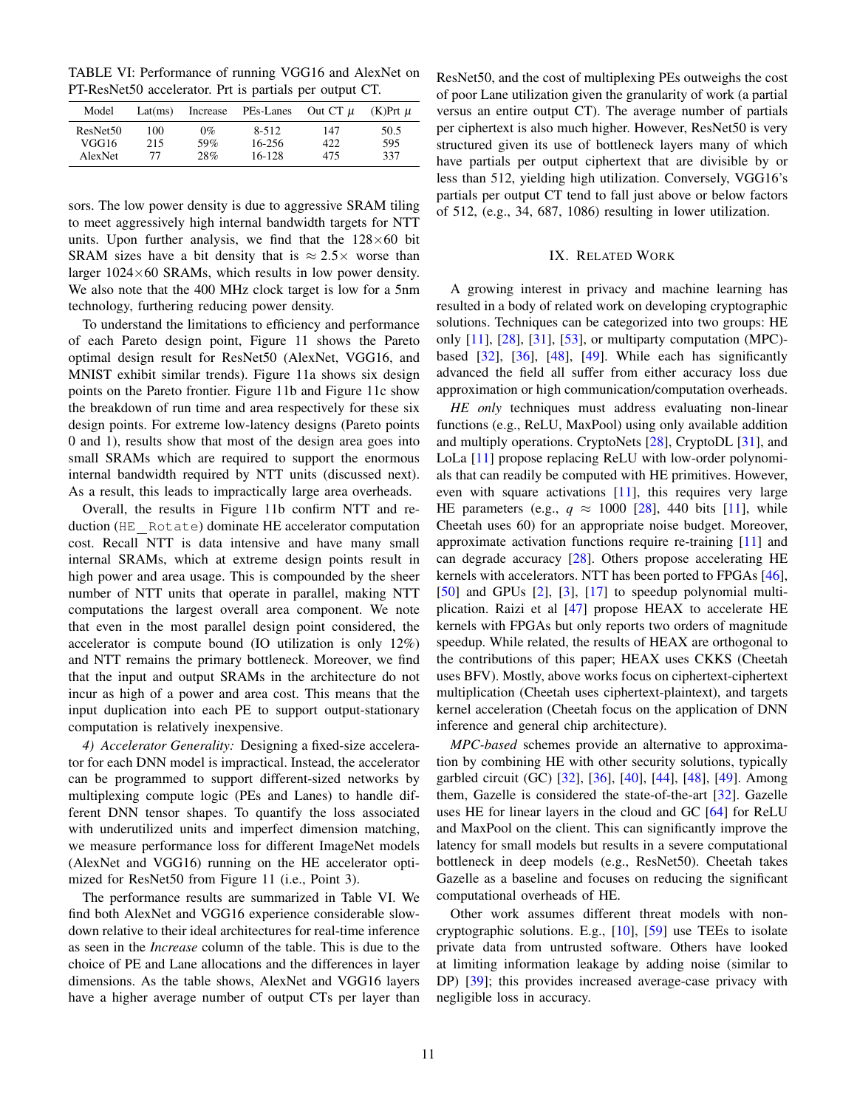<span id="page-10-0"></span>TABLE VI: Performance of running VGG16 and AlexNet on PT-ResNet50 accelerator. Prt is partials per output CT.

| Model                | Lat(ms) | Increase | PEs-Lanes | Out $CT$ $\mu$ | $(K)$ Prt $\mu$ |
|----------------------|---------|----------|-----------|----------------|-----------------|
| ResNet <sub>50</sub> | 100     | $0\%$    | $8 - 512$ | 147            | 50.5            |
| VGG16                | 215     | 59%      | 16-256    | 422            | 595             |
| AlexNet              | 77      | 28%      | 16-128    | 475            | 337             |

sors. The low power density is due to aggressive SRAM tiling to meet aggressively high internal bandwidth targets for NTT units. Upon further analysis, we find that the  $128\times60$  bit SRAM sizes have a bit density that is  $\approx 2.5 \times$  worse than larger  $1024\times60$  SRAMs, which results in low power density. We also note that the 400 MHz clock target is low for a 5nm technology, furthering reducing power density.

To understand the limitations to efficiency and performance of each Pareto design point, Figure [11](#page-9-0) shows the Pareto optimal design result for ResNet50 (AlexNet, VGG16, and MNIST exhibit similar trends). Figure [11a](#page-9-0) shows six design points on the Pareto frontier. Figure [11b](#page-9-0) and Figure [11c](#page-9-0) show the breakdown of run time and area respectively for these six design points. For extreme low-latency designs (Pareto points 0 and 1), results show that most of the design area goes into small SRAMs which are required to support the enormous internal bandwidth required by NTT units (discussed next). As a result, this leads to impractically large area overheads.

Overall, the results in Figure [11b](#page-9-0) confirm NTT and reduction (HE Rotate) dominate HE accelerator computation cost. Recall NTT is data intensive and have many small internal SRAMs, which at extreme design points result in high power and area usage. This is compounded by the sheer number of NTT units that operate in parallel, making NTT computations the largest overall area component. We note that even in the most parallel design point considered, the accelerator is compute bound (IO utilization is only 12%) and NTT remains the primary bottleneck. Moreover, we find that the input and output SRAMs in the architecture do not incur as high of a power and area cost. This means that the input duplication into each PE to support output-stationary computation is relatively inexpensive.

*4) Accelerator Generality:* Designing a fixed-size accelerator for each DNN model is impractical. Instead, the accelerator can be programmed to support different-sized networks by multiplexing compute logic (PEs and Lanes) to handle different DNN tensor shapes. To quantify the loss associated with underutilized units and imperfect dimension matching, we measure performance loss for different ImageNet models (AlexNet and VGG16) running on the HE accelerator optimized for ResNet50 from Figure [11](#page-9-0) (i.e., Point 3).

The performance results are summarized in Table [VI.](#page-10-0) We find both AlexNet and VGG16 experience considerable slowdown relative to their ideal architectures for real-time inference as seen in the *Increase* column of the table. This is due to the choice of PE and Lane allocations and the differences in layer dimensions. As the table shows, AlexNet and VGG16 layers have a higher average number of output CTs per layer than ResNet50, and the cost of multiplexing PEs outweighs the cost of poor Lane utilization given the granularity of work (a partial versus an entire output CT). The average number of partials per ciphertext is also much higher. However, ResNet50 is very structured given its use of bottleneck layers many of which have partials per output ciphertext that are divisible by or less than 512, yielding high utilization. Conversely, VGG16's partials per output CT tend to fall just above or below factors of 512, (e.g., 34, 687, 1086) resulting in lower utilization.

## IX. RELATED WORK

A growing interest in privacy and machine learning has resulted in a body of related work on developing cryptographic solutions. Techniques can be categorized into two groups: HE only  $[11]$ ,  $[28]$ ,  $[31]$ ,  $[53]$ , or multiparty computation (MPC)based  $[32]$ ,  $[36]$ ,  $[48]$ ,  $[49]$ . While each has significantly advanced the field all suffer from either accuracy loss due approximation or high communication/computation overheads.

*HE only* techniques must address evaluating non-linear functions (e.g., ReLU, MaxPool) using only available addition and multiply operations. CryptoNets [\[28\]](#page-11-9), CryptoDL [\[31\]](#page-11-10), and LoLa [\[11\]](#page-11-26) propose replacing ReLU with low-order polynomials that can readily be computed with HE primitives. However, even with square activations [\[11\]](#page-11-26), this requires very large HE parameters (e.g.,  $q \approx 1000$  [\[28\]](#page-11-9), 440 bits [\[11\]](#page-11-26), while Cheetah uses 60) for an appropriate noise budget. Moreover, approximate activation functions require re-training [\[11\]](#page-11-26) and can degrade accuracy [\[28\]](#page-11-9). Others propose accelerating HE kernels with accelerators. NTT has been ported to FPGAs [\[46\]](#page-12-24), [\[50\]](#page-12-25) and GPUs [\[2\]](#page-11-35), [\[3\]](#page-11-36), [\[17\]](#page-11-37) to speedup polynomial multiplication. Raizi et al [\[47\]](#page-12-26) propose HEAX to accelerate HE kernels with FPGAs but only reports two orders of magnitude speedup. While related, the results of HEAX are orthogonal to the contributions of this paper; HEAX uses CKKS (Cheetah uses BFV). Mostly, above works focus on ciphertext-ciphertext multiplication (Cheetah uses ciphertext-plaintext), and targets kernel acceleration (Cheetah focus on the application of DNN inference and general chip architecture).

*MPC-based* schemes provide an alternative to approximation by combining HE with other security solutions, typically garbled circuit (GC) [\[32\]](#page-11-6), [\[36\]](#page-11-7), [\[40\]](#page-11-13), [\[44\]](#page-12-9), [\[48\]](#page-12-3), [\[49\]](#page-12-4). Among them, Gazelle is considered the state-of-the-art [\[32\]](#page-11-6). Gazelle uses HE for linear layers in the cloud and GC [\[64\]](#page-12-27) for ReLU and MaxPool on the client. This can significantly improve the latency for small models but results in a severe computational bottleneck in deep models (e.g., ResNet50). Cheetah takes Gazelle as a baseline and focuses on reducing the significant computational overheads of HE.

Other work assumes different threat models with noncryptographic solutions. E.g., [\[10\]](#page-11-0), [\[59\]](#page-12-2) use TEEs to isolate private data from untrusted software. Others have looked at limiting information leakage by adding noise (similar to DP) [\[39\]](#page-11-38); this provides increased average-case privacy with negligible loss in accuracy.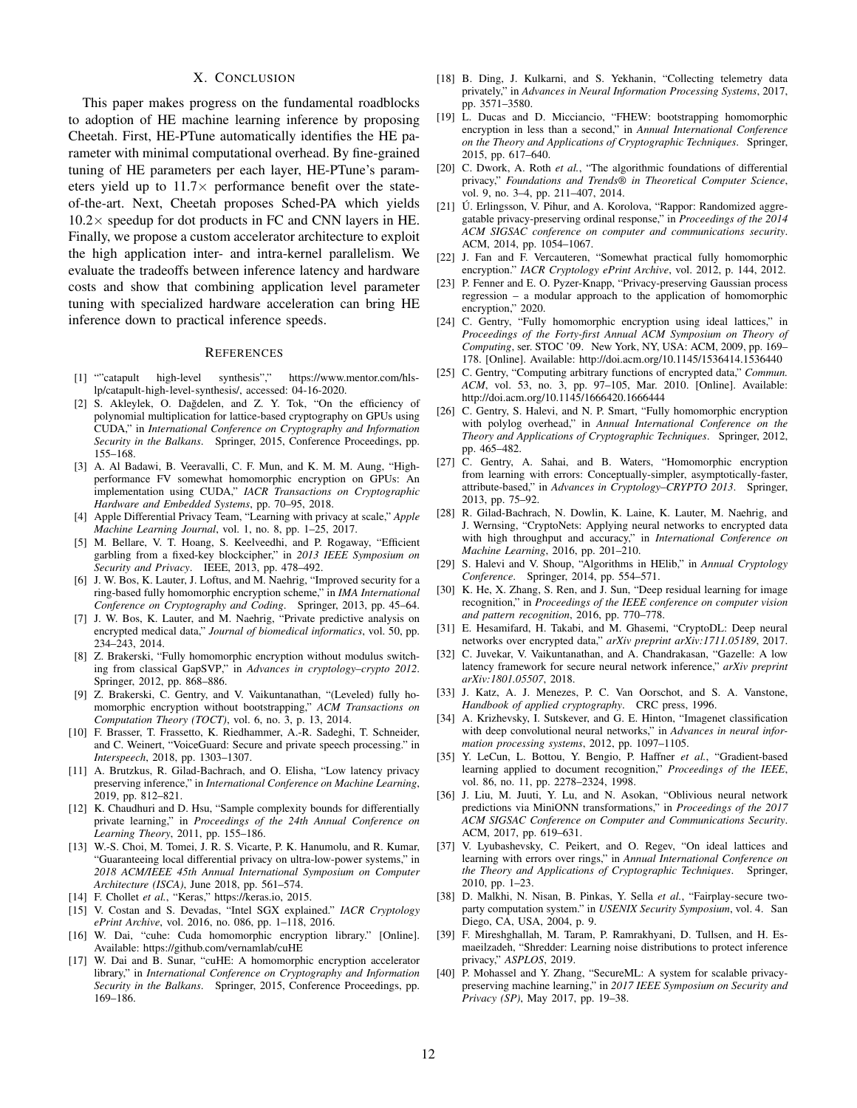## X. CONCLUSION

This paper makes progress on the fundamental roadblocks to adoption of HE machine learning inference by proposing Cheetah. First, HE-PTune automatically identifies the HE parameter with minimal computational overhead. By fine-grained tuning of HE parameters per each layer, HE-PTune's parameters yield up to  $11.7\times$  performance benefit over the stateof-the-art. Next, Cheetah proposes Sched-PA which yields  $10.2\times$  speedup for dot products in FC and CNN layers in HE. Finally, we propose a custom accelerator architecture to exploit the high application inter- and intra-kernel parallelism. We evaluate the tradeoffs between inference latency and hardware costs and show that combining application level parameter tuning with specialized hardware acceleration can bring HE inference down to practical inference speeds.

#### **REFERENCES**

- <span id="page-11-34"></span>[1] ""catapult high-level synthesis"," [https://www.mentor.com/hls](https://www.mentor.com/hls-lp/catapult-high-level-synthesis/)[lp/catapult-high-level-synthesis/,](https://www.mentor.com/hls-lp/catapult-high-level-synthesis/) accessed: 04-16-2020.
- <span id="page-11-35"></span>[2] S. Akleylek, O. Dağdelen, and Z. Y. Tok, "On the efficiency of polynomial multiplication for lattice-based cryptography on GPUs using CUDA," in *International Conference on Cryptography and Information Security in the Balkans*. Springer, 2015, Conference Proceedings, pp. 155–168.
- <span id="page-11-36"></span>[3] A. Al Badawi, B. Veeravalli, C. F. Mun, and K. M. M. Aung, "Highperformance FV somewhat homomorphic encryption on GPUs: An implementation using CUDA," *IACR Transactions on Cryptographic Hardware and Embedded Systems*, pp. 70–95, 2018.
- <span id="page-11-2"></span>[4] Apple Differential Privacy Team, "Learning with privacy at scale," *Apple Machine Learning Journal*, vol. 1, no. 8, pp. 1–25, 2017.
- <span id="page-11-15"></span>[5] M. Bellare, V. T. Hoang, S. Keelveedhi, and P. Rogaway, "Efficient garbling from a fixed-key blockcipher," in *2013 IEEE Symposium on Security and Privacy*. IEEE, 2013, pp. 478–492.
- <span id="page-11-20"></span>[6] J. W. Bos, K. Lauter, J. Loftus, and M. Naehrig, "Improved security for a ring-based fully homomorphic encryption scheme," in *IMA International Conference on Cryptography and Coding*. Springer, 2013, pp. 45–64.
- <span id="page-11-8"></span>[7] J. W. Bos, K. Lauter, and M. Naehrig, "Private predictive analysis on encrypted medical data," *Journal of biomedical informatics*, vol. 50, pp. 234–243, 2014.
- <span id="page-11-18"></span>[8] Z. Brakerski, "Fully homomorphic encryption without modulus switching from classical GapSVP," in *Advances in cryptology–crypto 2012*. Springer, 2012, pp. 868–886.
- <span id="page-11-21"></span>Z. Brakerski, C. Gentry, and V. Vaikuntanathan, "(Leveled) fully homomorphic encryption without bootstrapping," *ACM Transactions on Computation Theory (TOCT)*, vol. 6, no. 3, p. 13, 2014.
- <span id="page-11-0"></span>[10] F. Brasser, T. Frassetto, K. Riedhammer, A.-R. Sadeghi, T. Schneider, and C. Weinert, "VoiceGuard: Secure and private speech processing." in *Interspeech*, 2018, pp. 1303–1307.
- <span id="page-11-26"></span>[11] A. Brutzkus, R. Gilad-Bachrach, and O. Elisha, "Low latency privacy preserving inference," in *International Conference on Machine Learning*, 2019, pp. 812–821.
- <span id="page-11-12"></span>[12] K. Chaudhuri and D. Hsu, "Sample complexity bounds for differentially private learning," in *Proceedings of the 24th Annual Conference on Learning Theory*, 2011, pp. 155–186.
- <span id="page-11-3"></span>[13] W.-S. Choi, M. Tomei, J. R. S. Vicarte, P. K. Hanumolu, and R. Kumar, "Guaranteeing local differential privacy on ultra-low-power systems," in *2018 ACM/IEEE 45th Annual International Symposium on Computer Architecture (ISCA)*, June 2018, pp. 561–574.
- <span id="page-11-32"></span>[14] F. Chollet *et al.*, "Keras," [https://keras.io,](https://keras.io) 2015.
- <span id="page-11-1"></span>[15] V. Costan and S. Devadas, "Intel SGX explained." *IACR Cryptology ePrint Archive*, vol. 2016, no. 086, pp. 1–118, 2016.
- <span id="page-11-33"></span>[16] W. Dai, "cuhe: Cuda homomorphic encryption library." [Online]. Available: <https://github.com/vernamlab/cuHE>
- <span id="page-11-37"></span>[17] W. Dai and B. Sunar, "cuHE: A homomorphic encryption accelerator library," in *International Conference on Cryptography and Information Security in the Balkans*. Springer, 2015, Conference Proceedings, pp. 169–186.
- <span id="page-11-4"></span>[18] B. Ding, J. Kulkarni, and S. Yekhanin, "Collecting telemetry data privately," in *Advances in Neural Information Processing Systems*, 2017, pp. 3571–3580.
- <span id="page-11-27"></span>[19] L. Ducas and D. Micciancio, "FHEW: bootstrapping homomorphic encryption in less than a second," in *Annual International Conference on the Theory and Applications of Cryptographic Techniques*. Springer, 2015, pp. 617–640.
- <span id="page-11-11"></span>[20] C. Dwork, A. Roth *et al.*, "The algorithmic foundations of differential privacy," *Foundations and Trends® in Theoretical Computer Science*, vol. 9, no. 3–4, pp. 211–407, 2014.
- <span id="page-11-5"></span>[21] Ú. Erlingsson, V. Pihur, and A. Korolova, "Rappor: Randomized aggregatable privacy-preserving ordinal response," in *Proceedings of the 2014 ACM SIGSAC conference on computer and communications security*. ACM, 2014, pp. 1054–1067.
- <span id="page-11-17"></span>[22] J. Fan and F. Vercauteren, "Somewhat practical fully homomorphic encryption." *IACR Cryptology ePrint Archive*, vol. 2012, p. 144, 2012.
- <span id="page-11-16"></span>[23] P. Fenner and E. O. Pyzer-Knapp, "Privacy-preserving Gaussian process regression – a modular approach to the application of homomorphic encryption," 2020.
- <span id="page-11-19"></span>[24] C. Gentry, "Fully homomorphic encryption using ideal lattices," in *Proceedings of the Forty-first Annual ACM Symposium on Theory of Computing*, ser. STOC '09. New York, NY, USA: ACM, 2009, pp. 169– 178. [Online]. Available: <http://doi.acm.org/10.1145/1536414.1536440>
- <span id="page-11-22"></span>[25] C. Gentry, "Computing arbitrary functions of encrypted data," *Commun. ACM*, vol. 53, no. 3, pp. 97–105, Mar. 2010. [Online]. Available: <http://doi.acm.org/10.1145/1666420.1666444>
- [26] C. Gentry, S. Halevi, and N. P. Smart, "Fully homomorphic encryption with polylog overhead," in *Annual International Conference on the Theory and Applications of Cryptographic Techniques*. Springer, 2012, pp. 465–482.
- <span id="page-11-23"></span>[27] C. Gentry, A. Sahai, and B. Waters, "Homomorphic encryption from learning with errors: Conceptually-simpler, asymptotically-faster, attribute-based," in *Advances in Cryptology–CRYPTO 2013*. Springer, 2013, pp. 75–92.
- <span id="page-11-9"></span>[28] R. Gilad-Bachrach, N. Dowlin, K. Laine, K. Lauter, M. Naehrig, and J. Wernsing, "CryptoNets: Applying neural networks to encrypted data with high throughput and accuracy," in *International Conference on Machine Learning*, 2016, pp. 201–210.
- <span id="page-11-31"></span>[29] S. Halevi and V. Shoup, "Algorithms in HElib," in *Annual Cryptology Conference*. Springer, 2014, pp. 554–571.
- <span id="page-11-30"></span>[30] K. He, X. Zhang, S. Ren, and J. Sun, "Deep residual learning for image recognition," in *Proceedings of the IEEE conference on computer vision and pattern recognition*, 2016, pp. 770–778.
- <span id="page-11-10"></span>[31] E. Hesamifard, H. Takabi, and M. Ghasemi, "CryptoDL: Deep neural networks over encrypted data," *arXiv preprint arXiv:1711.05189*, 2017.
- <span id="page-11-6"></span>[32] C. Juvekar, V. Vaikuntanathan, and A. Chandrakasan, "Gazelle: A low latency framework for secure neural network inference," *arXiv preprint arXiv:1801.05507*, 2018.
- <span id="page-11-25"></span>[33] J. Katz, A. J. Menezes, P. C. Van Oorschot, and S. A. Vanstone, *Handbook of applied cryptography*. CRC press, 1996.
- <span id="page-11-29"></span>[34] A. Krizhevsky, I. Sutskever, and G. E. Hinton, "Imagenet classification with deep convolutional neural networks," in *Advances in neural information processing systems*, 2012, pp. 1097–1105.
- <span id="page-11-28"></span>[35] Y. LeCun, L. Bottou, Y. Bengio, P. Haffner *et al.*, "Gradient-based learning applied to document recognition," *Proceedings of the IEEE*, vol. 86, no. 11, pp. 2278–2324, 1998.
- <span id="page-11-7"></span>[36] J. Liu, M. Juuti, Y. Lu, and N. Asokan, "Oblivious neural network predictions via MiniONN transformations," in *Proceedings of the 2017 ACM SIGSAC Conference on Computer and Communications Security*. ACM, 2017, pp. 619–631.
- <span id="page-11-24"></span>[37] V. Lyubashevsky, C. Peikert, and O. Regev, "On ideal lattices and learning with errors over rings," in *Annual International Conference on the Theory and Applications of Cryptographic Techniques*. Springer, 2010, pp. 1–23.
- <span id="page-11-14"></span>[38] D. Malkhi, N. Nisan, B. Pinkas, Y. Sella *et al.*, "Fairplay-secure twoparty computation system." in *USENIX Security Symposium*, vol. 4. San Diego, CA, USA, 2004, p. 9.
- <span id="page-11-38"></span>[39] F. Mireshghallah, M. Taram, P. Ramrakhyani, D. Tullsen, and H. Esmaeilzadeh, "Shredder: Learning noise distributions to protect inference privacy," *ASPLOS*, 2019.
- <span id="page-11-13"></span>[40] P. Mohassel and Y. Zhang, "SecureML: A system for scalable privacypreserving machine learning," in *2017 IEEE Symposium on Security and Privacy (SP)*, May 2017, pp. 19–38.